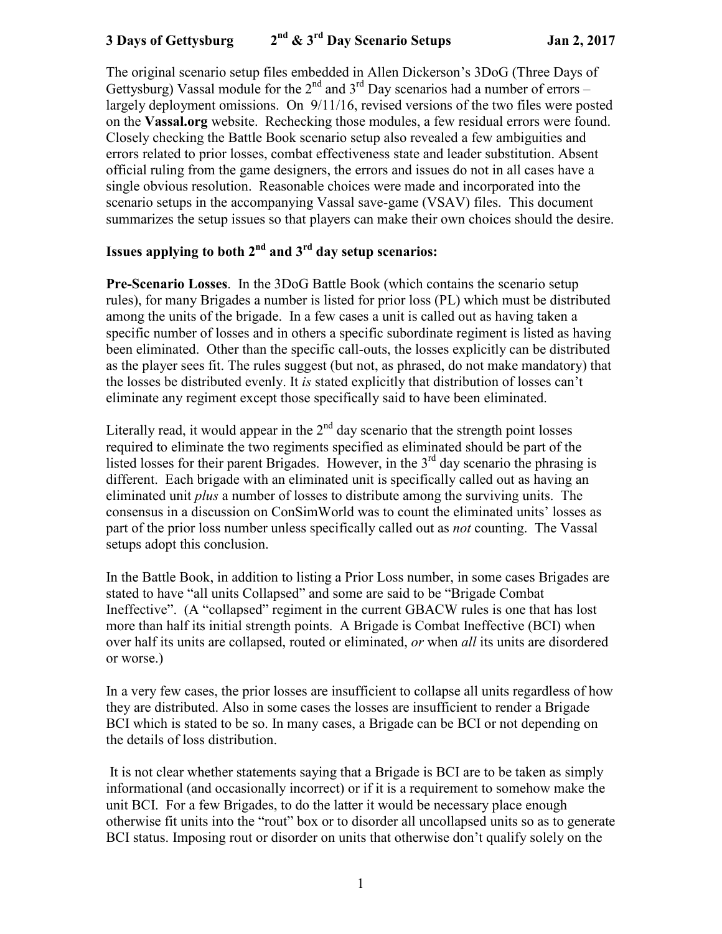# **3 Days of Gettysburg 2nd & 3rd Day Scenario Setups Jan 2, 2017**

The original scenario setup files embedded in Allen Dickerson's 3DoG (Three Days of Gettysburg) Vassal module for the  $2^{nd}$  and  $3^{rd}$  Day scenarios had a number of errors – largely deployment omissions. On 9/11/16, revised versions of the two files were posted on the **Vassal.org** website. Rechecking those modules, a few residual errors were found. Closely checking the Battle Book scenario setup also revealed a few ambiguities and errors related to prior losses, combat effectiveness state and leader substitution. Absent official ruling from the game designers, the errors and issues do not in all cases have a single obvious resolution. Reasonable choices were made and incorporated into the scenario setups in the accompanying Vassal save-game (VSAV) files. This document summarizes the setup issues so that players can make their own choices should the desire.

## **Issues applying to both 2nd and 3rd day setup scenarios:**

**Pre-Scenario Losses**. In the 3DoG Battle Book (which contains the scenario setup rules), for many Brigades a number is listed for prior loss (PL) which must be distributed among the units of the brigade. In a few cases a unit is called out as having taken a specific number of losses and in others a specific subordinate regiment is listed as having been eliminated. Other than the specific call-outs, the losses explicitly can be distributed as the player sees fit. The rules suggest (but not, as phrased, do not make mandatory) that the losses be distributed evenly. It *is* stated explicitly that distribution of losses can't eliminate any regiment except those specifically said to have been eliminated.

Literally read, it would appear in the  $2<sup>nd</sup>$  day scenario that the strength point losses required to eliminate the two regiments specified as eliminated should be part of the listed losses for their parent Brigades. However, in the  $3<sup>rd</sup>$  day scenario the phrasing is different. Each brigade with an eliminated unit is specifically called out as having an eliminated unit *plus* a number of losses to distribute among the surviving units. The consensus in a discussion on ConSimWorld was to count the eliminated units' losses as part of the prior loss number unless specifically called out as *not* counting. The Vassal setups adopt this conclusion.

In the Battle Book, in addition to listing a Prior Loss number, in some cases Brigades are stated to have "all units Collapsed" and some are said to be "Brigade Combat Ineffective". (A "collapsed" regiment in the current GBACW rules is one that has lost more than half its initial strength points. A Brigade is Combat Ineffective (BCI) when over half its units are collapsed, routed or eliminated, *or* when *all* its units are disordered or worse.)

In a very few cases, the prior losses are insufficient to collapse all units regardless of how they are distributed. Also in some cases the losses are insufficient to render a Brigade BCI which is stated to be so. In many cases, a Brigade can be BCI or not depending on the details of loss distribution.

 It is not clear whether statements saying that a Brigade is BCI are to be taken as simply informational (and occasionally incorrect) or if it is a requirement to somehow make the unit BCI. For a few Brigades, to do the latter it would be necessary place enough otherwise fit units into the "rout" box or to disorder all uncollapsed units so as to generate BCI status. Imposing rout or disorder on units that otherwise don't qualify solely on the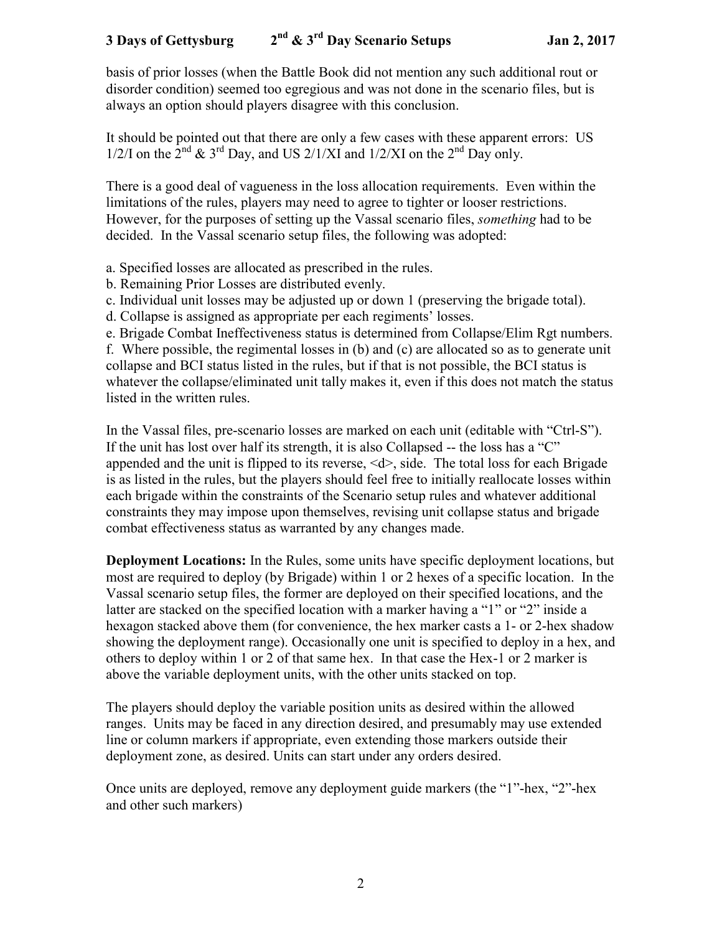basis of prior losses (when the Battle Book did not mention any such additional rout or disorder condition) seemed too egregious and was not done in the scenario files, but is always an option should players disagree with this conclusion.

It should be pointed out that there are only a few cases with these apparent errors: US  $1/2$ /I on the  $2<sup>nd</sup>$  & 3<sup>rd</sup> Day, and US  $2/1/XI$  and  $1/2/XI$  on the  $2<sup>nd</sup>$  Day only.

There is a good deal of vagueness in the loss allocation requirements. Even within the limitations of the rules, players may need to agree to tighter or looser restrictions. However, for the purposes of setting up the Vassal scenario files, *something* had to be decided. In the Vassal scenario setup files, the following was adopted:

a. Specified losses are allocated as prescribed in the rules.

b. Remaining Prior Losses are distributed evenly.

c. Individual unit losses may be adjusted up or down 1 (preserving the brigade total).

d. Collapse is assigned as appropriate per each regiments' losses.

e. Brigade Combat Ineffectiveness status is determined from Collapse/Elim Rgt numbers.

f. Where possible, the regimental losses in (b) and (c) are allocated so as to generate unit collapse and BCI status listed in the rules, but if that is not possible, the BCI status is whatever the collapse/eliminated unit tally makes it, even if this does not match the status listed in the written rules.

In the Vassal files, pre-scenario losses are marked on each unit (editable with "Ctrl-S"). If the unit has lost over half its strength, it is also Collapsed -- the loss has a "C" appended and the unit is flipped to its reverse,  $\langle d \rangle$ , side. The total loss for each Brigade is as listed in the rules, but the players should feel free to initially reallocate losses within each brigade within the constraints of the Scenario setup rules and whatever additional constraints they may impose upon themselves, revising unit collapse status and brigade combat effectiveness status as warranted by any changes made.

**Deployment Locations:** In the Rules, some units have specific deployment locations, but most are required to deploy (by Brigade) within 1 or 2 hexes of a specific location. In the Vassal scenario setup files, the former are deployed on their specified locations, and the latter are stacked on the specified location with a marker having a "1" or "2" inside a hexagon stacked above them (for convenience, the hex marker casts a 1- or 2-hex shadow showing the deployment range). Occasionally one unit is specified to deploy in a hex, and others to deploy within 1 or 2 of that same hex. In that case the Hex-1 or 2 marker is above the variable deployment units, with the other units stacked on top.

The players should deploy the variable position units as desired within the allowed ranges. Units may be faced in any direction desired, and presumably may use extended line or column markers if appropriate, even extending those markers outside their deployment zone, as desired. Units can start under any orders desired.

Once units are deployed, remove any deployment guide markers (the "1"-hex, "2"-hex and other such markers)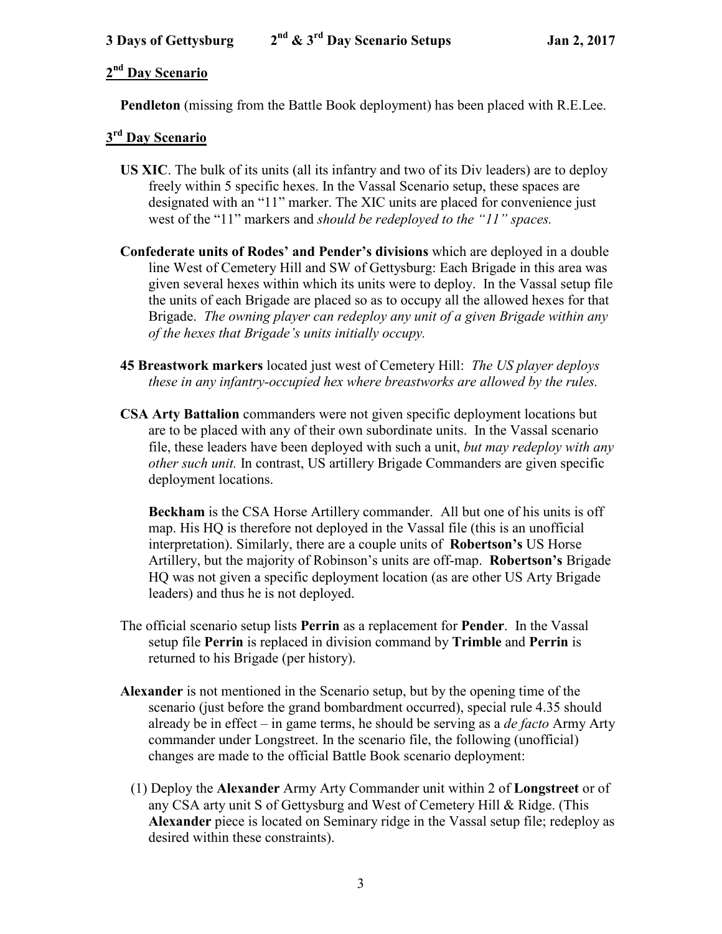#### **2 nd Day Scenario**

 **Pendleton** (missing from the Battle Book deployment) has been placed with R.E.Lee.

#### **3 rd Day Scenario**

- **US XIC**. The bulk of its units (all its infantry and two of its Div leaders) are to deploy freely within 5 specific hexes. In the Vassal Scenario setup, these spaces are designated with an "11" marker. The XIC units are placed for convenience just west of the "11" markers and *should be redeployed to the "11" spaces.*
- **Confederate units of Rodes' and Pender's divisions** which are deployed in a double line West of Cemetery Hill and SW of Gettysburg: Each Brigade in this area was given several hexes within which its units were to deploy. In the Vassal setup file the units of each Brigade are placed so as to occupy all the allowed hexes for that Brigade. *The owning player can redeploy any unit of a given Brigade within any of the hexes that Brigade's units initially occupy.*
- **45 Breastwork markers** located just west of Cemetery Hill: *The US player deploys these in any infantry-occupied hex where breastworks are allowed by the rules.*
- **CSA Arty Battalion** commanders were not given specific deployment locations but are to be placed with any of their own subordinate units. In the Vassal scenario file, these leaders have been deployed with such a unit, *but may redeploy with any other such unit.* In contrast, US artillery Brigade Commanders are given specific deployment locations.

**Beckham** is the CSA Horse Artillery commander. All but one of his units is off map. His HQ is therefore not deployed in the Vassal file (this is an unofficial interpretation). Similarly, there are a couple units of **Robertson's** US Horse Artillery, but the majority of Robinson's units are off-map. **Robertson's** Brigade HQ was not given a specific deployment location (as are other US Arty Brigade leaders) and thus he is not deployed.

- The official scenario setup lists **Perrin** as a replacement for **Pender**. In the Vassal setup file **Perrin** is replaced in division command by **Trimble** and **Perrin** is returned to his Brigade (per history).
- **Alexander** is not mentioned in the Scenario setup, but by the opening time of the scenario (just before the grand bombardment occurred), special rule 4.35 should already be in effect – in game terms, he should be serving as a *de facto* Army Arty commander under Longstreet. In the scenario file, the following (unofficial) changes are made to the official Battle Book scenario deployment:
	- (1) Deploy the **Alexander** Army Arty Commander unit within 2 of **Longstreet** or of any CSA arty unit S of Gettysburg and West of Cemetery Hill & Ridge. (This **Alexander** piece is located on Seminary ridge in the Vassal setup file; redeploy as desired within these constraints).